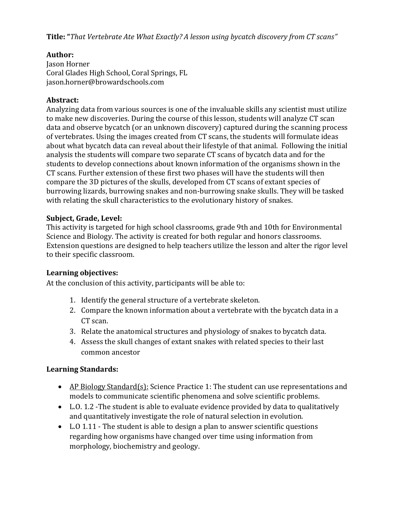**Title: "***That Vertebrate Ate What Exactly? A lesson using bycatch discovery from CT scans"*

#### **Author:**

Jason Horner Coral Glades High School, Coral Springs, FL jason.horner@browardschools.com

#### **Abstract:**

Analyzing data from various sources is one of the invaluable skills any scientist must utilize to make new discoveries. During the course of this lesson, students will analyze CT scan data and observe bycatch (or an unknown discovery) captured during the scanning process of vertebrates. Using the images created from CT scans, the students will formulate ideas about what bycatch data can reveal about their lifestyle of that animal. Following the initial analysis the students will compare two separate CT scans of bycatch data and for the students to develop connections about known information of the organisms shown in the CT scans. Further extension of these first two phases will have the students will then compare the 3D pictures of the skulls, developed from CT scans of extant species of burrowing lizards, burrowing snakes and non-burrowing snake skulls. They will be tasked with relating the skull characteristics to the evolutionary history of snakes.

#### **Subject, Grade, Level:**

This activity is targeted for high school classrooms, grade 9th and 10th for Environmental Science and Biology. The activity is created for both regular and honors classrooms. Extension questions are designed to help teachers utilize the lesson and alter the rigor level to their specific classroom.

#### **Learning objectives:**

At the conclusion of this activity, participants will be able to:

- 1. Identify the general structure of a vertebrate skeleton.
- 2. Compare the known information about a vertebrate with the bycatch data in a CT scan.
- 3. Relate the anatomical structures and physiology of snakes to bycatch data.
- 4. Assess the skull changes of extant snakes with related species to their last common ancestor

#### **Learning Standards:**

- AP Biology Standard(s): Science Practice 1: The student can use representations and models to communicate scientific phenomena and solve scientific problems.
- L.O. 1.2 -The student is able to evaluate evidence provided by data to qualitatively and quantitatively investigate the role of natural selection in evolution.
- L.O 1.11 The student is able to design a plan to answer scientific questions regarding how organisms have changed over time using information from morphology, biochemistry and geology.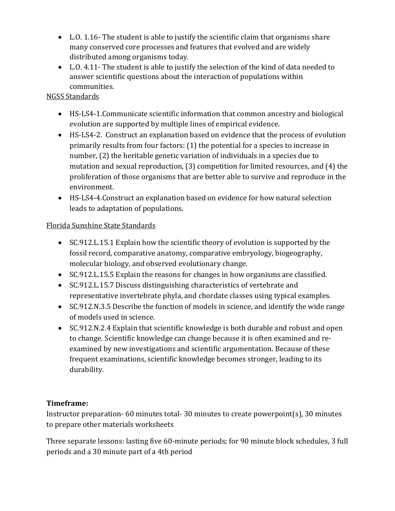- L.O. 1.16- The student is able to justify the scientific claim that organisms share many conserved core processes and features that evolved and are widely distributed among organisms today.
- L.O. 4.11- The student is able to justify the selection of the kind of data needed to answer scientific questions about the interaction of populations within communities.

## NGSS Standards

- HS-LS4-1.Communicate scientific information that common ancestry and biological evolution are supported by multiple lines of empirical evidence.
- HS-LS4-2. Construct an explanation based on evidence that the process of evolution primarily results from four factors: (1) the potential for a species to increase in number, (2) the heritable genetic variation of individuals in a species due to mutation and sexual reproduction, (3) competition for limited resources, and (4) the proliferation of those organisms that are better able to survive and reproduce in the environment.
- HS-LS4-4.Construct an explanation based on evidence for how natural selection leads to adaptation of populations.

# Florida Sunshine State Standards

- SC.912.L.15.1 Explain how the scientific theory of evolution is supported by the fossil record, comparative anatomy, comparative embryology, biogeography, molecular biology, and observed evolutionary change.
- SC.912.L.15.5 Explain the reasons for changes in how organisms are classified.
- SC.912.L.15.7 Discuss distinguishing characteristics of vertebrate and representative invertebrate phyla, and chordate classes using typical examples.
- SC.912.N.3.5 Describe the function of models in science, and identify the wide range of models used in science.
- SC.912.N.2.4 Explain that scientific knowledge is both durable and robust and open to change. Scientific knowledge can change because it is often examined and reexamined by new investigations and scientific argumentation. Because of these frequent examinations, scientific knowledge becomes stronger, leading to its durability.

# **Timeframe:**

Instructor preparation- 60 minutes total- 30 minutes to create powerpoint(s), 30 minutes to prepare other materials worksheets

Three separate lessons: lasting five 60-minute periods; for 90 minute block schedules, 3 full periods and a 30 minute part of a 4th period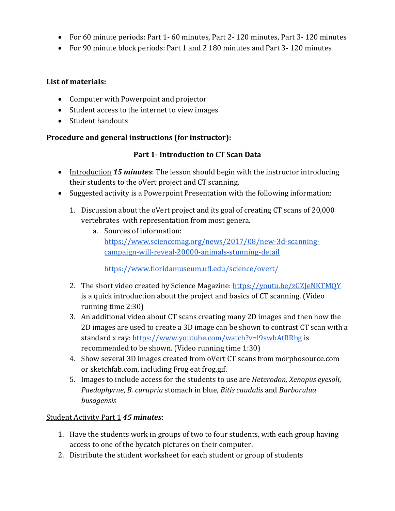- For 60 minute periods: Part 1- 60 minutes, Part 2- 120 minutes, Part 3- 120 minutes
- For 90 minute block periods: Part 1 and 2 180 minutes and Part 3- 120 minutes

#### **List of materials:**

- Computer with Powerpoint and projector
- Student access to the internet to view images
- Student handouts

### **Procedure and general instructions (for instructor):**

## **Part 1- Introduction to CT Scan Data**

- Introduction *15 minutes*: The lesson should begin with the instructor introducing their students to the oVert project and CT scanning.
- Suggested activity is a Powerpoint Presentation with the following information:
	- 1. Discussion about the oVert project and its goal of creating CT scans of 20,000 vertebrates with representation from most genera.
		- a. Sources of information: [https://www.sciencemag.org/news/2017/08/new-3d-scanning](https://www.sciencemag.org/news/2017/08/new-3d-scanning-campaign-will-reveal-20000-animals-stunning-detail)[campaign-will-reveal-20000-animals-stunning-detail](https://www.sciencemag.org/news/2017/08/new-3d-scanning-campaign-will-reveal-20000-animals-stunning-detail)

<https://www.floridamuseum.ufl.edu/science/overt/>

- 2. The short video created by Science Magazine:<https://youtu.be/zGZJeNKTMQY> is a quick introduction about the project and basics of CT scanning. (Video running time 2:30)
- 3. An additional video about CT scans creating many 2D images and then how the 2D images are used to create a 3D image can be shown to contrast CT scan with a standard x ray:<https://www.youtube.com/watch?v=l9swbAtRRbg> is recommended to be shown. (Video running time 1:30)
- 4. Show several 3D images created from oVert CT scans from morphosource.com or sketchfab.com, including Frog eat frog.gif.
- 5. Images to include access for the students to use are *Heterodon, Xenopus eyesoli*, *Paedophyrne*, *B. curupria* stomach in blue, *Bitis caudalis* and *Barborulua busagensis*

### Student Activity Part 1 *45 minutes*:

- 1. Have the students work in groups of two to four students, with each group having access to one of the bycatch pictures on their computer.
- 2. Distribute the student worksheet for each student or group of students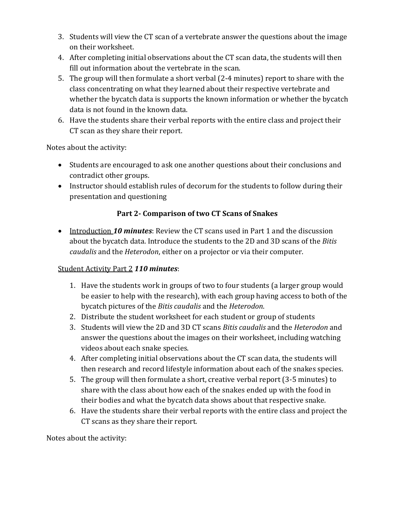- 3. Students will view the CT scan of a vertebrate answer the questions about the image on their worksheet.
- 4. After completing initial observations about the CT scan data, the students will then fill out information about the vertebrate in the scan.
- 5. The group will then formulate a short verbal (2-4 minutes) report to share with the class concentrating on what they learned about their respective vertebrate and whether the bycatch data is supports the known information or whether the bycatch data is not found in the known data.
- 6. Have the students share their verbal reports with the entire class and project their CT scan as they share their report.

Notes about the activity:

- Students are encouraged to ask one another questions about their conclusions and contradict other groups.
- Instructor should establish rules of decorum for the students to follow during their presentation and questioning

# **Part 2- Comparison of two CT Scans of Snakes**

 Introduction *10 minutes*: Review the CT scans used in Part 1 and the discussion about the bycatch data. Introduce the students to the 2D and 3D scans of the *Bitis caudalis* and the *Heterodon*, either on a projector or via their computer.

# Student Activity Part 2 *110 minutes*:

- 1. Have the students work in groups of two to four students (a larger group would be easier to help with the research), with each group having access to both of the bycatch pictures of the *Bitis caudalis* and the *Heterodon*.
- 2. Distribute the student worksheet for each student or group of students
- 3. Students will view the 2D and 3D CT scans *Bitis caudalis* and the *Heterodon* and answer the questions about the images on their worksheet, including watching videos about each snake species.
- 4. After completing initial observations about the CT scan data, the students will then research and record lifestyle information about each of the snakes species.
- 5. The group will then formulate a short, creative verbal report (3-5 minutes) to share with the class about how each of the snakes ended up with the food in their bodies and what the bycatch data shows about that respective snake.
- 6. Have the students share their verbal reports with the entire class and project the CT scans as they share their report.

Notes about the activity: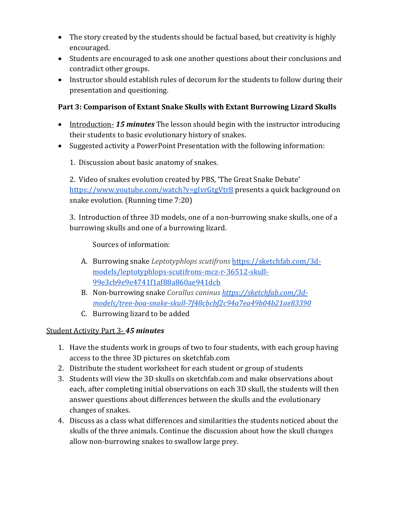- The story created by the students should be factual based, but creativity is highly encouraged.
- Students are encouraged to ask one another questions about their conclusions and contradict other groups.
- Instructor should establish rules of decorum for the students to follow during their presentation and questioning.

# **Part 3: Comparison of Extant Snake Skulls with Extant Burrowing Lizard Skulls**

- Introduction- *15 minutes* The lesson should begin with the instructor introducing their students to basic evolutionary history of snakes.
- Suggested activity a PowerPoint Presentation with the following information:
	- 1. Discussion about basic anatomy of snakes.

2. Video of snakes evolution created by PBS, 'The Great Snake Debate['](https://www.youtube.com/watch?v=gIvrGtgVtr8) <https://www.youtube.com/watch?v=gIvrGtgVtr8> presents a quick background on snake evolution. (Running time 7:20)

3. Introduction of three 3D models, one of a non-burrowing snake skulls, one of a burrowing skulls and one of a burrowing lizard.

Sources of information:

- A. Burrowing snake *Leptotyphlops scutifrons* [https://sketchfab.com/3d](https://sketchfab.com/3d-models/leptotyphlops-scutifrons-mcz-r-36512-skull-99e3cb9e9e4741f1af88a860ae941dcb)[models/leptotyphlops-scutifrons-mcz-r-36512-skull-](https://sketchfab.com/3d-models/leptotyphlops-scutifrons-mcz-r-36512-skull-99e3cb9e9e4741f1af88a860ae941dcb)[99e3cb9e9e4741f1af88a860ae941dcb](https://sketchfab.com/3d-models/leptotyphlops-scutifrons-mcz-r-36512-skull-99e3cb9e9e4741f1af88a860ae941dcb)
- B. Non-burrowing snake *Corallus caninus [https://sketchfab.com/3d](https://sketchfab.com/3d-models/tree-boa-snake-skull-7f48cbcbf2c94a7ea49b04b21ae83390)[models/tree-boa-snake-skull-7f48cbcbf2c94a7ea49b04b21ae83390](https://sketchfab.com/3d-models/tree-boa-snake-skull-7f48cbcbf2c94a7ea49b04b21ae83390)*
- C. Burrowing lizard to be added

# Student Activity Part 3- *45 minutes*

- 1. Have the students work in groups of two to four students, with each group having access to the three 3D pictures on sketchfab.com
- 2. Distribute the student worksheet for each student or group of students
- 3. Students will view the 3D skulls on sketchfab.com and make observations about each, after completing initial observations on each 3D skull, the students will then answer questions about differences between the skulls and the evolutionary changes of snakes.
- 4. Discuss as a class what differences and similarities the students noticed about the skulls of the three animals. Continue the discussion about how the skull changes allow non-burrowing snakes to swallow large prey.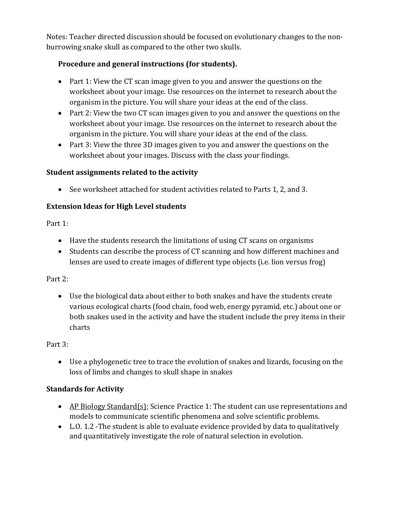Notes: Teacher directed discussion should be focused on evolutionary changes to the nonburrowing snake skull as compared to the other two skulls.

# **Procedure and general instructions (for students).**

- Part 1: View the CT scan image given to you and answer the questions on the worksheet about your image. Use resources on the internet to research about the organism in the picture. You will share your ideas at the end of the class.
- Part 2: View the two CT scan images given to you and answer the questions on the worksheet about your image. Use resources on the internet to research about the organism in the picture. You will share your ideas at the end of the class.
- Part 3: View the three 3D images given to you and answer the questions on the worksheet about your images. Discuss with the class your findings.

# **Student assignments related to the activity**

See worksheet attached for student activities related to Parts 1, 2, and 3.

# **Extension Ideas for High Level students**

Part 1:

- Have the students research the limitations of using CT scans on organisms
- Students can describe the process of CT scanning and how different machines and lenses are used to create images of different type objects (i.e. lion versus frog)

# Part 2:

 Use the biological data about either to both snakes and have the students create various ecological charts (food chain, food web, energy pyramid, etc.) about one or both snakes used in the activity and have the student include the prey items in their charts

# Part 3:

 Use a phylogenetic tree to trace the evolution of snakes and lizards, focusing on the loss of limbs and changes to skull shape in snakes

# **Standards for Activity**

- AP Biology Standard(s): Science Practice 1: The student can use representations and models to communicate scientific phenomena and solve scientific problems.
- L.O. 1.2 -The student is able to evaluate evidence provided by data to qualitatively and quantitatively investigate the role of natural selection in evolution.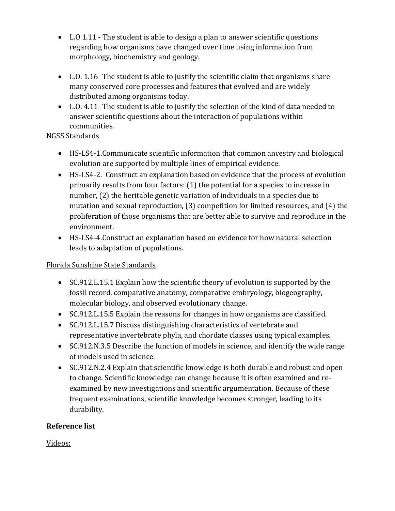- L.O 1.11 The student is able to design a plan to answer scientific questions regarding how organisms have changed over time using information from morphology, biochemistry and geology.
- $\bullet$  L.O. 1.16- The student is able to justify the scientific claim that organisms share many conserved core processes and features that evolved and are widely distributed among organisms today.
- L.O. 4.11- The student is able to justify the selection of the kind of data needed to answer scientific questions about the interaction of populations within communities.

## NGSS Standards

- HS-LS4-1.Communicate scientific information that common ancestry and biological evolution are supported by multiple lines of empirical evidence.
- HS-LS4-2. Construct an explanation based on evidence that the process of evolution primarily results from four factors: (1) the potential for a species to increase in number, (2) the heritable genetic variation of individuals in a species due to mutation and sexual reproduction, (3) competition for limited resources, and (4) the proliferation of those organisms that are better able to survive and reproduce in the environment.
- HS-LS4-4.Construct an explanation based on evidence for how natural selection leads to adaptation of populations.

# Florida Sunshine State Standards

- SC.912.L.15.1 Explain how the scientific theory of evolution is supported by the fossil record, comparative anatomy, comparative embryology, biogeography, molecular biology, and observed evolutionary change.
- SC.912.L.15.5 Explain the reasons for changes in how organisms are classified.
- SC.912.L.15.7 Discuss distinguishing characteristics of vertebrate and representative invertebrate phyla, and chordate classes using typical examples.
- SC.912.N.3.5 Describe the function of models in science, and identify the wide range of models used in science.
- SC.912.N.2.4 Explain that scientific knowledge is both durable and robust and open to change. Scientific knowledge can change because it is often examined and reexamined by new investigations and scientific argumentation. Because of these frequent examinations, scientific knowledge becomes stronger, leading to its durability.

# **Reference list**

Videos: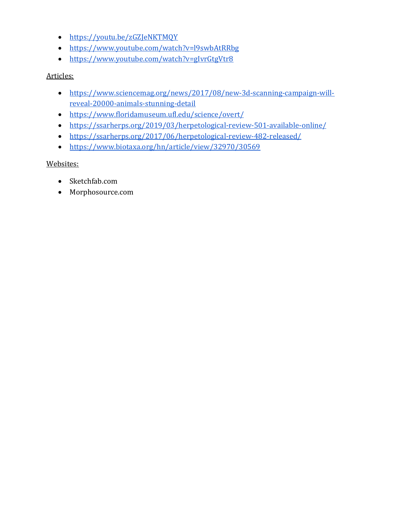- <https://youtu.be/zGZJeNKTMQY>
- <https://www.youtube.com/watch?v=l9swbAtRRbg>
- <https://www.youtube.com/watch?v=gIvrGtgVtr8>

#### Articles:

- [https://www.sciencemag.org/news/2017/08/new-3d-scanning-campaign-will](https://www.sciencemag.org/news/2017/08/new-3d-scanning-campaign-will-reveal-20000-animals-stunning-detail)[reveal-20000-animals-stunning-detail](https://www.sciencemag.org/news/2017/08/new-3d-scanning-campaign-will-reveal-20000-animals-stunning-detail)
- <https://www.floridamuseum.ufl.edu/science/overt/>
- <https://ssarherps.org/2019/03/herpetological-review-501-available-online/>
- <https://ssarherps.org/2017/06/herpetological-review-482-released/>
- <https://www.biotaxa.org/hn/article/view/32970/30569>

### Websites:

- Sketchfab.com
- Morphosource.com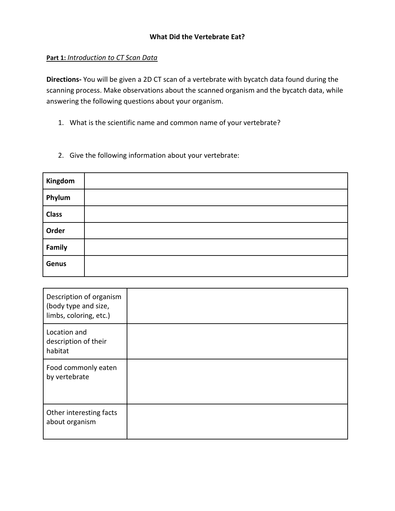#### **What Did the Vertebrate Eat?**

#### **Part 1:** *Introduction to CT Scan Data*

**Directions-** You will be given a 2D CT scan of a vertebrate with bycatch data found during the scanning process. Make observations about the scanned organism and the bycatch data, while answering the following questions about your organism.

- 1. What is the scientific name and common name of your vertebrate?
- 2. Give the following information about your vertebrate:

| Kingdom      |  |
|--------------|--|
| Phylum       |  |
| <b>Class</b> |  |
| Order        |  |
| Family       |  |
| Genus        |  |

| Description of organism<br>(body type and size,<br>limbs, coloring, etc.) |  |
|---------------------------------------------------------------------------|--|
| Location and<br>description of their<br>habitat                           |  |
| Food commonly eaten<br>by vertebrate                                      |  |
| Other interesting facts<br>about organism                                 |  |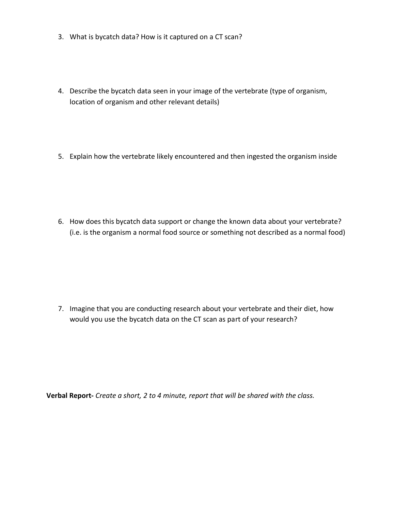- 3. What is bycatch data? How is it captured on a CT scan?
- 4. Describe the bycatch data seen in your image of the vertebrate (type of organism, location of organism and other relevant details)
- 5. Explain how the vertebrate likely encountered and then ingested the organism inside

6. How does this bycatch data support or change the known data about your vertebrate? (i.e. is the organism a normal food source or something not described as a normal food)

7. Imagine that you are conducting research about your vertebrate and their diet, how would you use the bycatch data on the CT scan as part of your research?

**Verbal Report-** *Create a short, 2 to 4 minute, report that will be shared with the class.*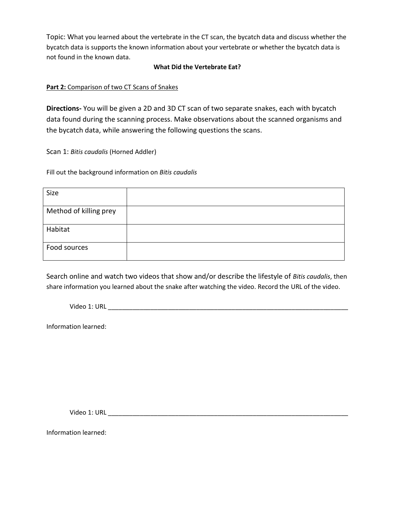Topic: What you learned about the vertebrate in the CT scan, the bycatch data and discuss whether the bycatch data is supports the known information about your vertebrate or whether the bycatch data is not found in the known data.

#### **What Did the Vertebrate Eat?**

#### **Part 2:** Comparison of two CT Scans of Snakes

**Directions-** You will be given a 2D and 3D CT scan of two separate snakes, each with bycatch data found during the scanning process. Make observations about the scanned organisms and the bycatch data, while answering the following questions the scans.

Scan 1: *Bitis caudalis* (Horned Addler)

Fill out the background information on *Bitis caudalis*

| Size                   |  |
|------------------------|--|
| Method of killing prey |  |
| Habitat                |  |
| Food sources           |  |

Search online and watch two videos that show and/or describe the lifestyle of *Bitis caudalis*, then share information you learned about the snake after watching the video. Record the URL of the video.

Video 1: URL \_\_\_\_\_\_\_\_\_\_\_\_\_\_\_\_\_\_\_\_\_\_\_\_\_\_\_\_\_\_\_\_\_\_\_\_\_\_\_\_\_\_\_\_\_\_\_\_\_\_\_\_\_\_\_\_\_\_\_\_\_\_\_\_\_\_\_\_

Information learned:

Video 1: URL \_\_\_\_\_\_\_\_\_\_\_\_\_\_\_\_\_\_\_\_\_\_\_\_\_\_\_\_\_\_\_\_\_\_\_\_\_\_\_\_\_\_\_\_\_\_\_\_\_\_\_\_\_\_\_\_\_\_\_\_\_\_\_\_\_\_\_\_

Information learned: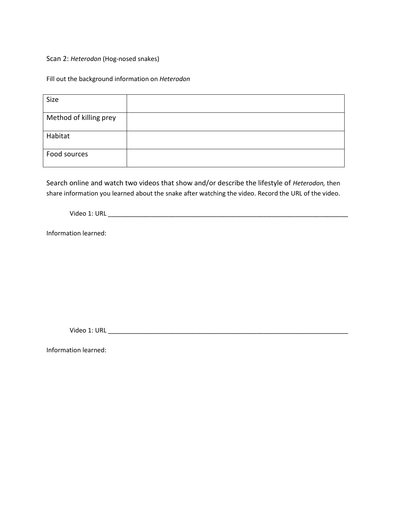Scan 2: *Heterodon* (Hog-nosed snakes)

Fill out the background information on *Heterodon*

| Size                   |  |
|------------------------|--|
|                        |  |
| Method of killing prey |  |
|                        |  |
| Habitat                |  |
|                        |  |
|                        |  |
| Food sources           |  |
|                        |  |

Search online and watch two videos that show and/or describe the lifestyle of *Heterodon,* then share information you learned about the snake after watching the video. Record the URL of the video.

Video 1: URL \_\_\_\_\_\_\_\_\_\_\_\_\_\_\_\_\_\_\_\_\_\_\_\_\_\_\_\_\_\_\_\_\_\_\_\_\_\_\_\_\_\_\_\_\_\_\_\_\_\_\_\_\_\_\_\_\_\_\_\_\_\_\_\_\_\_\_\_

Information learned:

Video 1: URL \_\_\_\_\_\_\_\_\_\_\_\_\_\_\_\_\_\_\_\_\_\_\_\_\_\_\_\_\_\_\_\_\_\_\_\_\_\_\_\_\_\_\_\_\_\_\_\_\_\_\_\_\_\_\_\_\_\_\_\_\_\_\_\_\_\_\_\_

Information learned: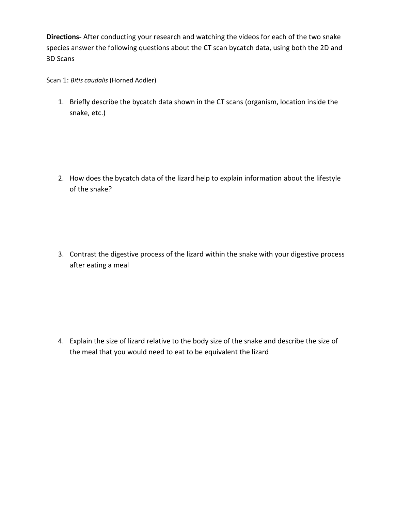**Directions-** After conducting your research and watching the videos for each of the two snake species answer the following questions about the CT scan bycatch data, using both the 2D and 3D Scans

Scan 1: *Bitis caudalis* (Horned Addler)

1. Briefly describe the bycatch data shown in the CT scans (organism, location inside the snake, etc.)

2. How does the bycatch data of the lizard help to explain information about the lifestyle of the snake?

3. Contrast the digestive process of the lizard within the snake with your digestive process after eating a meal

4. Explain the size of lizard relative to the body size of the snake and describe the size of the meal that you would need to eat to be equivalent the lizard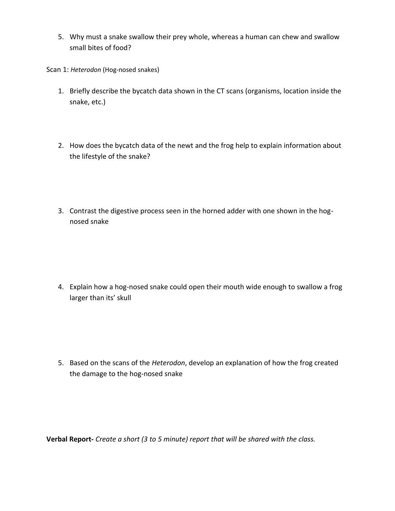5. Why must a snake swallow their prey whole, whereas a human can chew and swallow small bites of food?

Scan 1: *Heterodon* (Hog-nosed snakes)

- 1. Briefly describe the bycatch data shown in the CT scans (organisms, location inside the snake, etc.)
- 2. How does the bycatch data of the newt and the frog help to explain information about the lifestyle of the snake?
- 3. Contrast the digestive process seen in the horned adder with one shown in the hognosed snake

4. Explain how a hog-nosed snake could open their mouth wide enough to swallow a frog larger than its' skull

5. Based on the scans of the *Heterodon*, develop an explanation of how the frog created the damage to the hog-nosed snake

**Verbal Report-** *Create a short (3 to 5 minute) report that will be shared with the class.*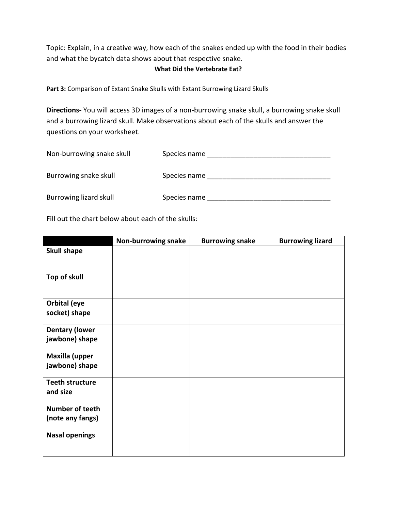Topic: Explain, in a creative way, how each of the snakes ended up with the food in their bodies and what the bycatch data shows about that respective snake.

#### **What Did the Vertebrate Eat?**

#### **Part 3:** Comparison of Extant Snake Skulls with Extant Burrowing Lizard Skulls

**Directions-** You will access 3D images of a non-burrowing snake skull, a burrowing snake skull and a burrowing lizard skull. Make observations about each of the skulls and answer the questions on your worksheet.

| Non-burrowing snake skull | Species name |
|---------------------------|--------------|
|                           |              |
| Burrowing snake skull     | Species name |
|                           |              |
| Burrowing lizard skull    | Species name |
|                           |              |

Fill out the chart below about each of the skulls:

|                                            | Non-burrowing snake | <b>Burrowing snake</b> | <b>Burrowing lizard</b> |
|--------------------------------------------|---------------------|------------------------|-------------------------|
| <b>Skull shape</b>                         |                     |                        |                         |
| Top of skull                               |                     |                        |                         |
| Orbital (eye<br>socket) shape              |                     |                        |                         |
| <b>Dentary (lower</b><br>jawbone) shape    |                     |                        |                         |
| <b>Maxilla (upper</b><br>jawbone) shape    |                     |                        |                         |
| <b>Teeth structure</b><br>and size         |                     |                        |                         |
| <b>Number of teeth</b><br>(note any fangs) |                     |                        |                         |
| <b>Nasal openings</b>                      |                     |                        |                         |